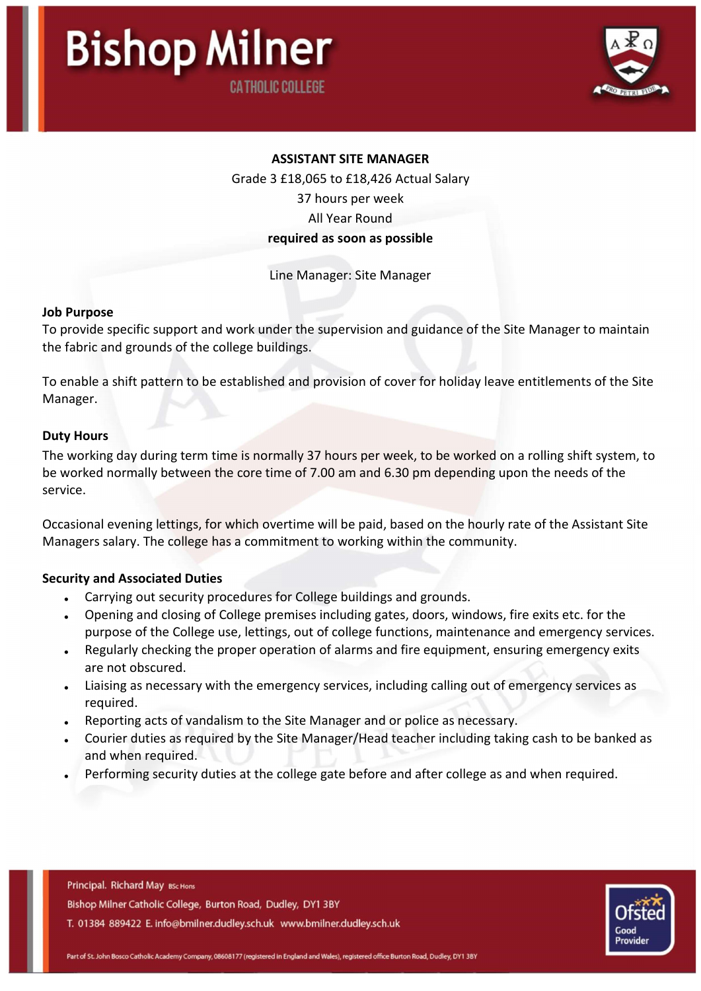

## ASSISTANT SITE MANAGER

Grade 3 £18,065 to £18,426 Actual Salary

37 hours per week

All Year Round

#### required as soon as possible

Line Manager: Site Manager

#### Job Purpose

To provide specific support and work under the supervision and guidance of the Site Manager to maintain the fabric and grounds of the college buildings.

To enable a shift pattern to be established and provision of cover for holiday leave entitlements of the Site Manager.

#### Duty Hours

The working day during term time is normally 37 hours per week, to be worked on a rolling shift system, to be worked normally between the core time of 7.00 am and 6.30 pm depending upon the needs of the service.

Occasional evening lettings, for which overtime will be paid, based on the hourly rate of the Assistant Site Managers salary. The college has a commitment to working within the community.

## Security and Associated Duties

- Carrying out security procedures for College buildings and grounds.
- Opening and closing of College premises including gates, doors, windows, fire exits etc. for the purpose of the College use, lettings, out of college functions, maintenance and emergency services.
- Regularly checking the proper operation of alarms and fire equipment, ensuring emergency exits are not obscured.
- Liaising as necessary with the emergency services, including calling out of emergency services as required.
- Reporting acts of vandalism to the Site Manager and or police as necessary.
- Courier duties as required by the Site Manager/Head teacher including taking cash to be banked as and when required.
- Performing security duties at the college gate before and after college as and when required.

Principal. Richard May BSc Hons Bishop Milner Catholic College, Burton Road, Dudley, DY1 3BY T. 01384 889422 E. info@bmilner.dudley.sch.uk www.bmilner.dudley.sch.uk

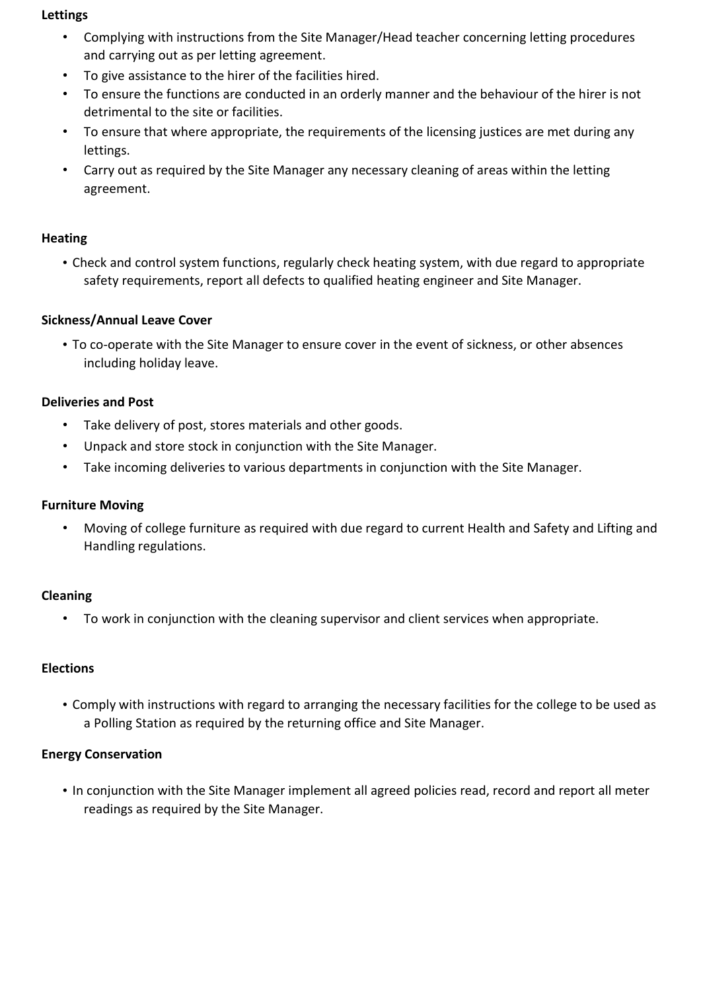## Lettings

- Complying with instructions from the Site Manager/Head teacher concerning letting procedures and carrying out as per letting agreement.
- To give assistance to the hirer of the facilities hired.
- To ensure the functions are conducted in an orderly manner and the behaviour of the hirer is not detrimental to the site or facilities.
- To ensure that where appropriate, the requirements of the licensing justices are met during any lettings.
- Carry out as required by the Site Manager any necessary cleaning of areas within the letting agreement.

## **Heating**

• Check and control system functions, regularly check heating system, with due regard to appropriate safety requirements, report all defects to qualified heating engineer and Site Manager.

## Sickness/Annual Leave Cover

• To co-operate with the Site Manager to ensure cover in the event of sickness, or other absences including holiday leave.

## Deliveries and Post

- Take delivery of post, stores materials and other goods.
- Unpack and store stock in conjunction with the Site Manager.
- Take incoming deliveries to various departments in conjunction with the Site Manager.

## Furniture Moving

• Moving of college furniture as required with due regard to current Health and Safety and Lifting and Handling regulations.

## Cleaning

• To work in conjunction with the cleaning supervisor and client services when appropriate.

## Elections

• Comply with instructions with regard to arranging the necessary facilities for the college to be used as a Polling Station as required by the returning office and Site Manager.

# Energy Conservation

• In conjunction with the Site Manager implement all agreed policies read, record and report all meter readings as required by the Site Manager.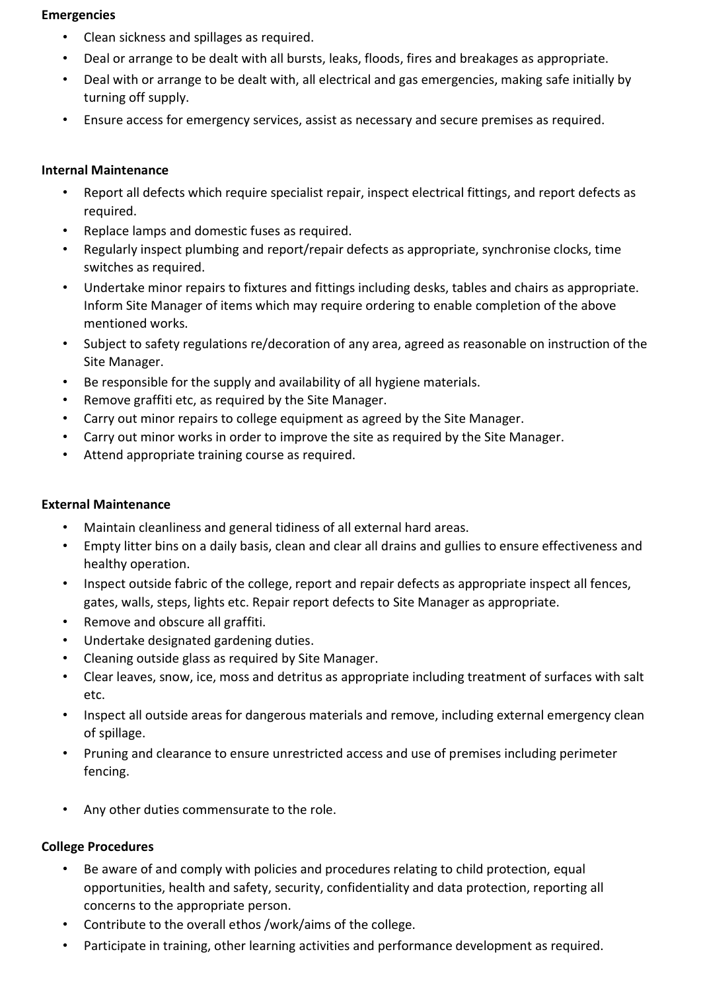## Emergencies

- Clean sickness and spillages as required.
- Deal or arrange to be dealt with all bursts, leaks, floods, fires and breakages as appropriate.
- Deal with or arrange to be dealt with, all electrical and gas emergencies, making safe initially by turning off supply.
- Ensure access for emergency services, assist as necessary and secure premises as required.

# Internal Maintenance

- Report all defects which require specialist repair, inspect electrical fittings, and report defects as required.
- Replace lamps and domestic fuses as required.
- Regularly inspect plumbing and report/repair defects as appropriate, synchronise clocks, time switches as required.
- Undertake minor repairs to fixtures and fittings including desks, tables and chairs as appropriate. Inform Site Manager of items which may require ordering to enable completion of the above mentioned works.
- Subject to safety regulations re/decoration of any area, agreed as reasonable on instruction of the Site Manager.
- Be responsible for the supply and availability of all hygiene materials.
- Remove graffiti etc, as required by the Site Manager.
- Carry out minor repairs to college equipment as agreed by the Site Manager.
- Carry out minor works in order to improve the site as required by the Site Manager.
- Attend appropriate training course as required.

# External Maintenance

- Maintain cleanliness and general tidiness of all external hard areas.
- Empty litter bins on a daily basis, clean and clear all drains and gullies to ensure effectiveness and healthy operation.
- Inspect outside fabric of the college, report and repair defects as appropriate inspect all fences, gates, walls, steps, lights etc. Repair report defects to Site Manager as appropriate.
- Remove and obscure all graffiti.
- Undertake designated gardening duties.
- Cleaning outside glass as required by Site Manager.
- Clear leaves, snow, ice, moss and detritus as appropriate including treatment of surfaces with salt etc.
- Inspect all outside areas for dangerous materials and remove, including external emergency clean of spillage.
- Pruning and clearance to ensure unrestricted access and use of premises including perimeter fencing.
- Any other duties commensurate to the role.

# College Procedures

- Be aware of and comply with policies and procedures relating to child protection, equal opportunities, health and safety, security, confidentiality and data protection, reporting all concerns to the appropriate person.
- Contribute to the overall ethos /work/aims of the college.
- Participate in training, other learning activities and performance development as required.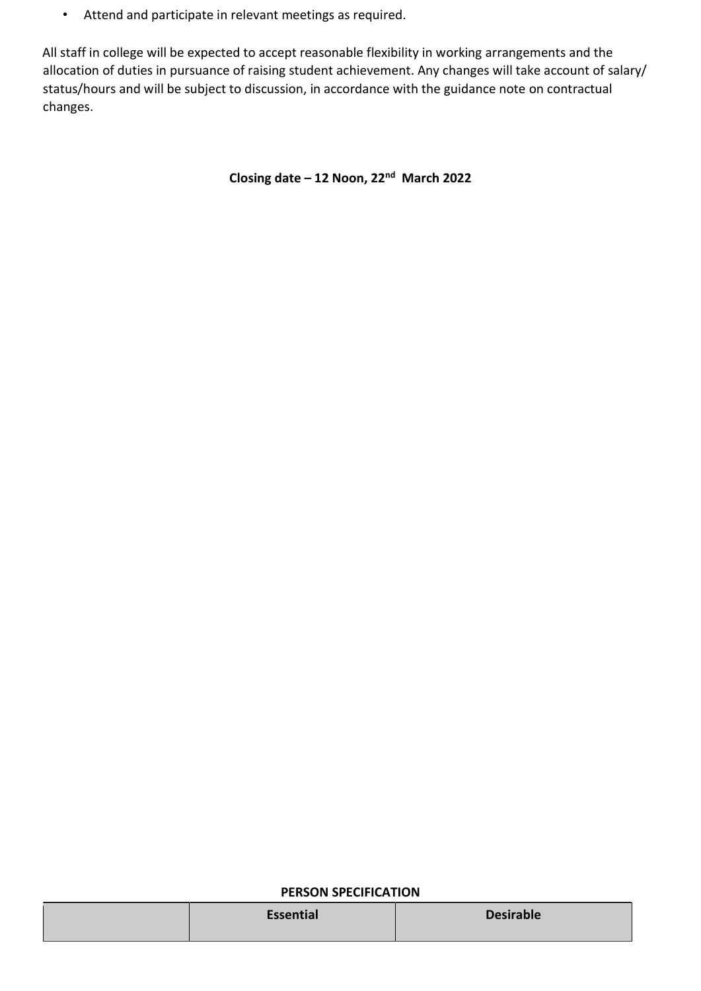• Attend and participate in relevant meetings as required.

All staff in college will be expected to accept reasonable flexibility in working arrangements and the allocation of duties in pursuance of raising student achievement. Any changes will take account of salary/ status/hours and will be subject to discussion, in accordance with the guidance note on contractual changes.

Closing date – 12 Noon, 22nd March 2022

#### PERSON SPECIFICATION

| Essential<br><b>Desirable</b> |  |
|-------------------------------|--|
|-------------------------------|--|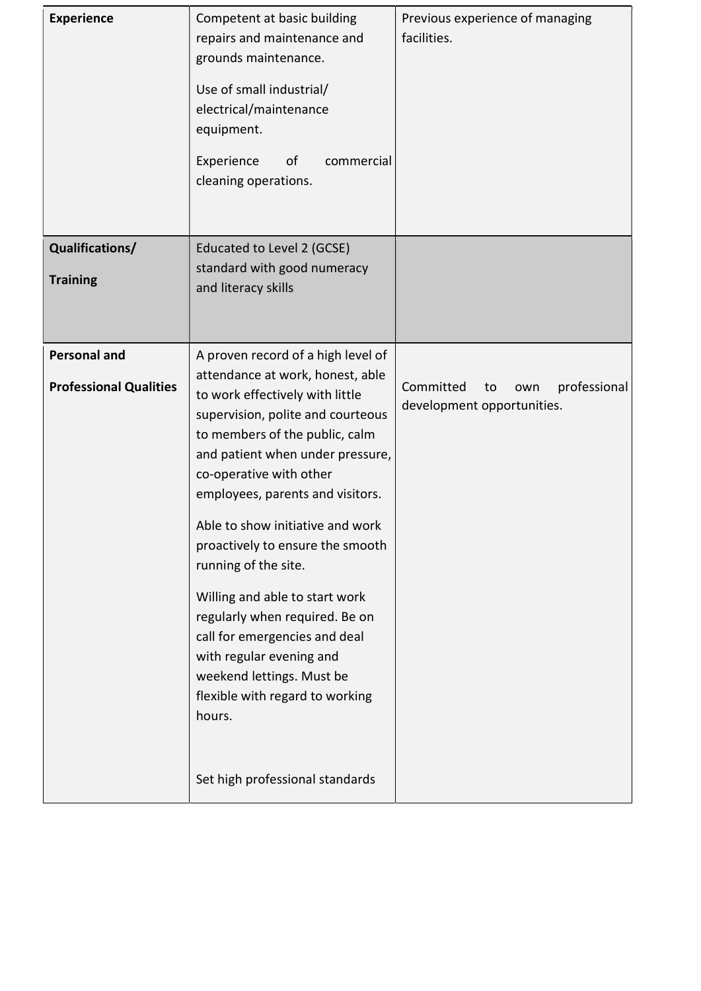| <b>Experience</b>             | Competent at basic building<br>repairs and maintenance and<br>grounds maintenance.<br>Use of small industrial/<br>electrical/maintenance<br>equipment.<br>Experience<br>οf<br>commercial<br>cleaning operations. | Previous experience of managing<br>facilities. |
|-------------------------------|------------------------------------------------------------------------------------------------------------------------------------------------------------------------------------------------------------------|------------------------------------------------|
| Qualifications/               | Educated to Level 2 (GCSE)                                                                                                                                                                                       |                                                |
| <b>Training</b>               | standard with good numeracy                                                                                                                                                                                      |                                                |
|                               | and literacy skills                                                                                                                                                                                              |                                                |
|                               |                                                                                                                                                                                                                  |                                                |
| <b>Personal and</b>           | A proven record of a high level of                                                                                                                                                                               |                                                |
|                               | attendance at work, honest, able                                                                                                                                                                                 |                                                |
| <b>Professional Qualities</b> | to work effectively with little                                                                                                                                                                                  | Committed<br>professional<br>to<br>own         |
|                               | supervision, polite and courteous                                                                                                                                                                                | development opportunities.                     |
|                               | to members of the public, calm                                                                                                                                                                                   |                                                |
|                               | and patient when under pressure,<br>co-operative with other                                                                                                                                                      |                                                |
|                               | employees, parents and visitors.                                                                                                                                                                                 |                                                |
|                               |                                                                                                                                                                                                                  |                                                |
|                               | Able to show initiative and work<br>proactively to ensure the smooth                                                                                                                                             |                                                |
|                               | running of the site.                                                                                                                                                                                             |                                                |
|                               | Willing and able to start work                                                                                                                                                                                   |                                                |
|                               | regularly when required. Be on                                                                                                                                                                                   |                                                |
|                               | call for emergencies and deal                                                                                                                                                                                    |                                                |
|                               | with regular evening and                                                                                                                                                                                         |                                                |
|                               | weekend lettings. Must be<br>flexible with regard to working                                                                                                                                                     |                                                |
|                               | hours.                                                                                                                                                                                                           |                                                |
|                               |                                                                                                                                                                                                                  |                                                |
|                               | Set high professional standards                                                                                                                                                                                  |                                                |